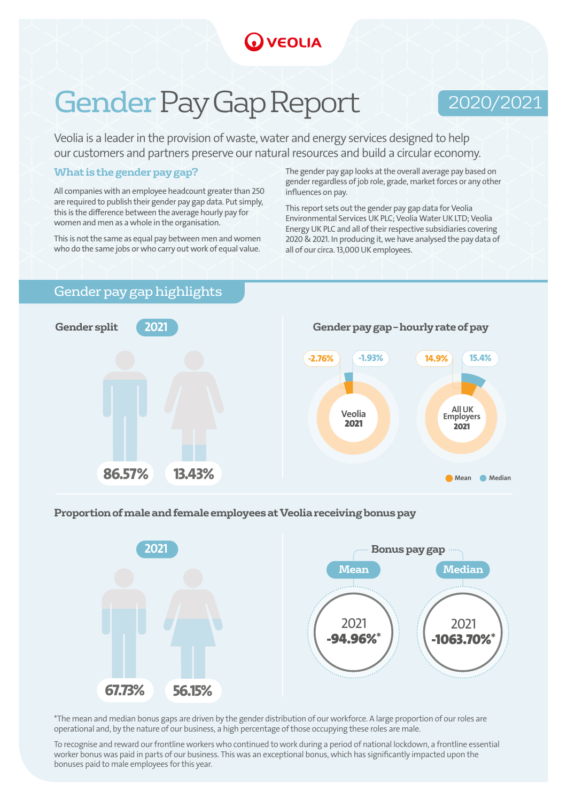## **VEOLIA**

# Gender Pay Gap Report

### 2020/2021

Veolia is a leader in the provision of waste, water and energy services designed to help our customers and partners preserve our natural resources and build a circular economy.

#### **What is the gender pay gap?**

All companies with an employee headcount greater than 250 are required to publish their gender pay gap data. Put simply, this is the difference between the average hourly pay for women and men as a whole in the organisation.

This is not the same as equal pay between men and women who do the same jobs or who carry out work of equal value.

The gender pay gap looks at the overall average pay based on gender regardless of job role, grade, market forces or any other influences on pay.

This report sets out the gender pay gap data for Veolia Environmental Services UK PLC; Veolia Water UK LTD; Veolia Energy UK PLC and all of their respective subsidiaries covering 2020 & 2021. In producing it, we have analysed the pay data of all of our circa. 13,000 UK employees.

#### Gender pay gap highlights



#### **Proportion of male and female employees at Veolia receiving bonus pay**



\*The mean and median bonus gaps are driven by the gender distribution of our workforce. A large proportion of our roles are operational and, by the nature of our business, a high percentage of those occupying these roles are male.

To recognise and reward our frontline workers who continued to work during a period of national lockdown, a frontline essential worker bonus was paid in parts of our business. This was an exceptional bonus, which has significantly impacted upon the bonuses paid to male employees for this year.